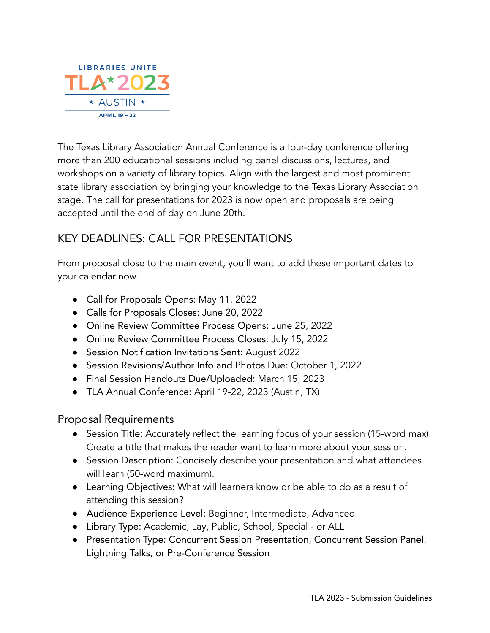

The Texas Library Association Annual Conference is a four-day conference offering more than 200 educational sessions including panel discussions, lectures, and workshops on a variety of library topics. Align with the largest and most prominent state library association by bringing your knowledge to the Texas Library Association stage. The call for presentations for 2023 is now open and proposals are being accepted until the end of day on June 20th.

## KEY DEADLINES: CALL FOR PRESENTATIONS

From proposal close to the main event, you'll want to add these important dates to your calendar now.

- Call for Proposals Opens: May 11, 2022
- Calls for Proposals Closes: June 20, 2022
- Online Review Committee Process Opens: June 25, 2022
- Online Review Committee Process Closes: July 15, 2022
- Session Notification Invitations Sent: August 2022
- Session Revisions/Author Info and Photos Due: October 1, 2022
- Final Session Handouts Due/Uploaded: March 15, 2023
- TLA Annual Conference: April 19-22, 2023 (Austin, TX)

#### Proposal Requirements

- Session Title: Accurately reflect the learning focus of your session (15-word max). Create a title that makes the reader want to learn more about your session.
- Session Description: Concisely describe your presentation and what attendees will learn (50-word maximum).
- Learning Objectives: What will learners know or be able to do as a result of attending this session?
- Audience Experience Level: Beginner, Intermediate, Advanced
- Library Type: Academic, Lay, Public, School, Special or ALL
- Presentation Type: Concurrent Session Presentation, Concurrent Session Panel, Lightning Talks, or Pre-Conference Session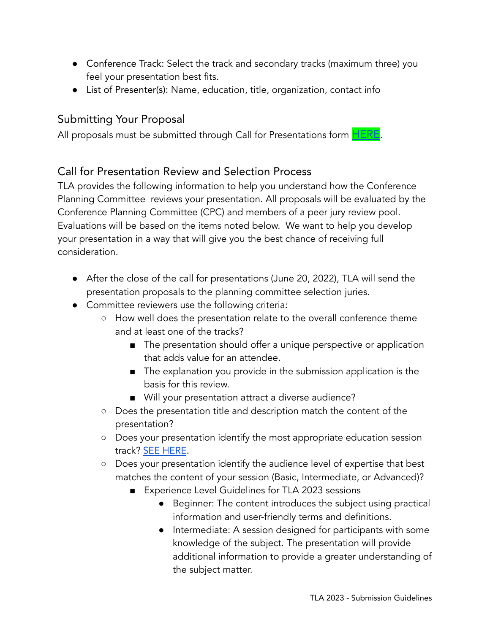- Conference Track: Select the track and secondary tracks (maximum three) you feel your presentation best fits.
- List of Presenter(s): Name, education, title, organization, contact info

# Submitting Your Proposal

All proposals must be submitted through Call for Presentations form **[HERE](https://docs.google.com/forms/d/e/1FAIpQLScN9q2q4fIN1H6I5IqPlwO_9JITxuzeIbbq7Ixy9h0u0gEiCg/viewform?usp=sf_link)**.

## Call for Presentation Review and Selection Process

TLA provides the following information to help you understand how the Conference Planning Committee reviews your presentation. All proposals will be evaluated by the Conference Planning Committee (CPC) and members of a peer jury review pool. Evaluations will be based on the items noted below. We want to help you develop your presentation in a way that will give you the best chance of receiving full consideration.

- After the close of the call for presentations (June 20, 2022), TLA will send the presentation proposals to the planning committee selection juries.
- Committee reviewers use the following criteria:
	- How well does the presentation relate to the overall conference theme and at least one of the tracks?
		- The presentation should offer a unique perspective or application that adds value for an attendee.
		- The explanation you provide in the submission application is the basis for this review.
		- Will your presentation attract a diverse audience?
	- Does the presentation title and description match the content of the presentation?
	- Does your presentation identify the most appropriate education session track? SEE [HERE](https://txla.org/wp-content/uploads/2022/05/TLA2023-Tracks-CFP.pdf).
	- Does your presentation identify the audience level of expertise that best matches the content of your session (Basic, Intermediate, or Advanced)?
		- Experience Level Guidelines for TLA 2023 sessions
			- Beginner: The content introduces the subject using practical information and user-friendly terms and definitions.
			- Intermediate: A session designed for participants with some knowledge of the subject. The presentation will provide additional information to provide a greater understanding of the subject matter.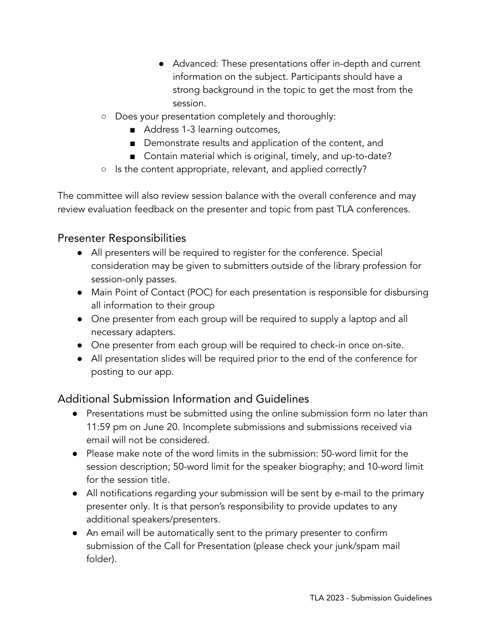- Advanced: These presentations offer in-depth and current information on the subject. Participants should have a strong background in the topic to get the most from the session.
- Does your presentation completely and thoroughly:
	- Address 1-3 learning outcomes,
	- Demonstrate results and application of the content, and
	- Contain material which is original, timely, and up-to-date?
- Is the content appropriate, relevant, and applied correctly?

The committee will also review session balance with the overall conference and may review evaluation feedback on the presenter and topic from past TLA conferences.

#### Presenter Responsibilities

- All presenters will be required to register for the conference. Special consideration may be given to submitters outside of the library profession for session-only passes.
- Main Point of Contact (POC) for each presentation is responsible for disbursing all information to their group
- One presenter from each group will be required to supply a laptop and all necessary adapters.
- One presenter from each group will be required to check-in once on-site.
- All presentation slides will be required prior to the end of the conference for posting to our app.

## Additional Submission Information and Guidelines

- Presentations must be submitted using the online submission form no later than 11:59 pm on June 20. Incomplete submissions and submissions received via email will not be considered.
- Please make note of the word limits in the submission: 50-word limit for the session description; 50-word limit for the speaker biography; and 10-word limit for the session title.
- All notifications regarding your submission will be sent by e-mail to the primary presenter only. It is that person's responsibility to provide updates to any additional speakers/presenters.
- An email will be automatically sent to the primary presenter to confirm submission of the Call for Presentation (please check your junk/spam mail folder).